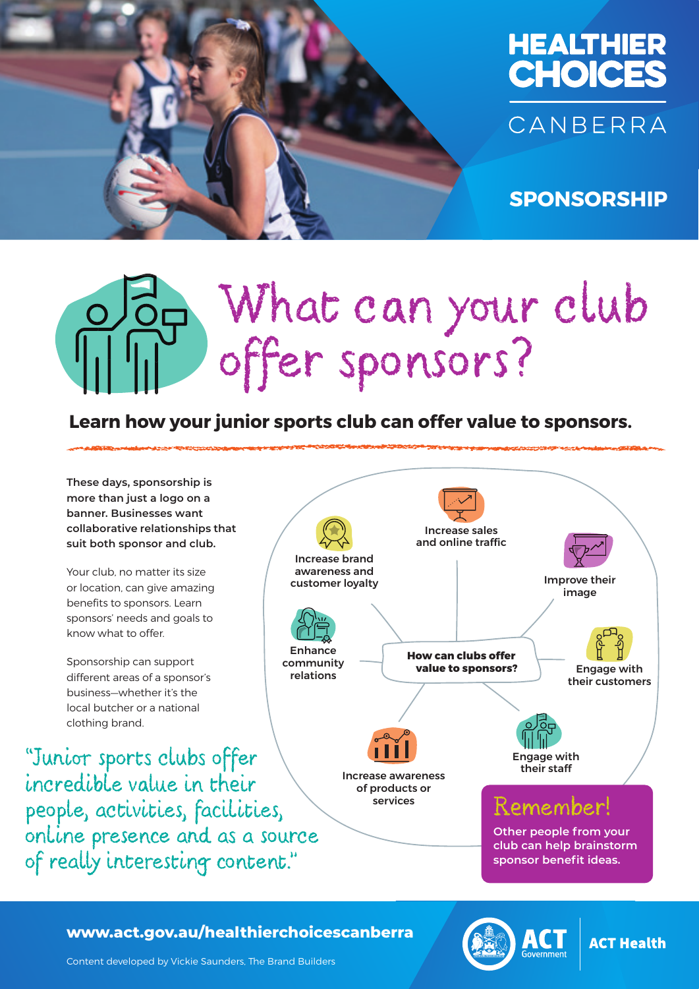

**SPONSORSHIP**

# What can your club offer sponsors?

### **Learn how your junior sports club can offer value to sponsors.**



HEALTHIER CHOICES CANBERRA **www.act.gov.au/healthierchoicescanberra**



**ACT Health** 

Content developed by Vickie Saunders, The Brand Builders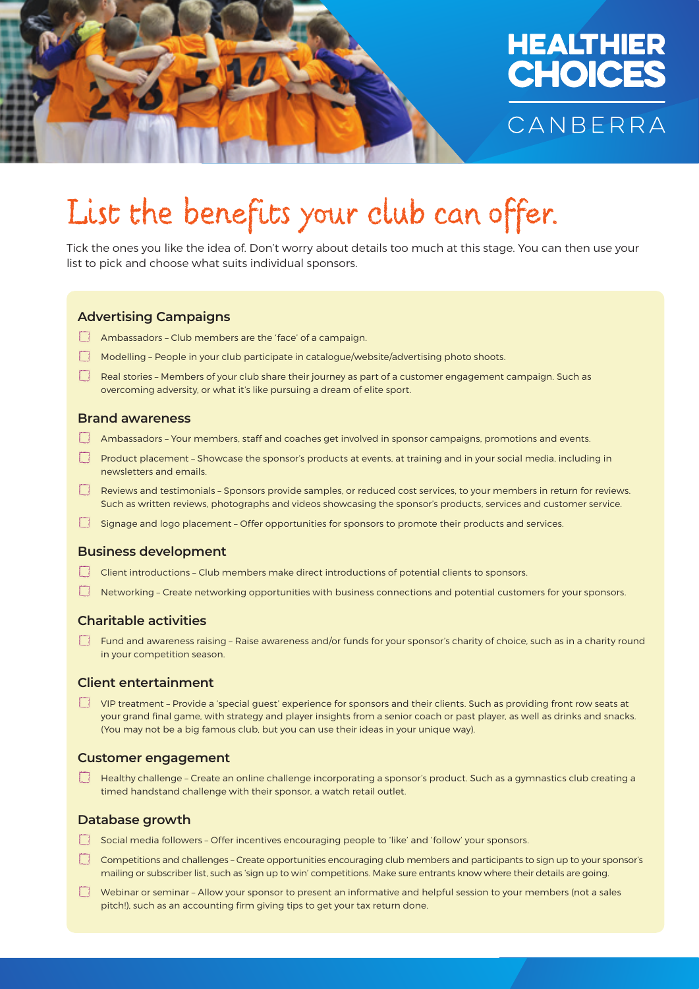

### HEALTHIER **CHOICES** CANBERRA

## List the benefits your club can offer.

Tick the ones you like the idea of. Don't worry about details too much at this stage. You can then use your list to pick and choose what suits individual sponsors.

#### **Advertising Campaigns**

- Ambassadors Club members are the 'face' of a campaign.
- Modelling People in your club participate in catalogue/website/advertising photo shoots.
- Real stories Members of your club share their journey as part of a customer engagement campaign. Such as overcoming adversity, or what it's like pursuing a dream of elite sport.

#### **Brand awareness**

- Ambassadors Your members, staff and coaches get involved in sponsor campaigns, promotions and events.
- Product placement Showcase the sponsor's products at events, at training and in your social media, including in newsletters and emails.
- Reviews and testimonials Sponsors provide samples, or reduced cost services, to your members in return for reviews. Such as written reviews, photographs and videos showcasing the sponsor's products, services and customer service.
- Signage and logo placement Offer opportunities for sponsors to promote their products and services.

#### **Business development**

- Client introductions Club members make direct introductions of potential clients to sponsors.
- Networking Create networking opportunities with business connections and potential customers for your sponsors.

#### **Charitable activities**

Fund and awareness raising - Raise awareness and/or funds for your sponsor's charity of choice, such as in a charity round in your competition season.

#### **Client entertainment**

VIP treatment – Provide a 'special guest' experience for sponsors and their clients. Such as providing front row seats at your grand final game, with strategy and player insights from a senior coach or past player, as well as drinks and snacks. (You may not be a big famous club, but you can use their ideas in your unique way).

#### **Customer engagement**

Healthy challenge – Create an online challenge incorporating a sponsor's product. Such as a gymnastics club creating a timed handstand challenge with their sponsor, a watch retail outlet.

#### **Database growth**

- Social media followers Offer incentives encouraging people to 'like' and 'follow' your sponsors.
- Competitions and challenges Create opportunities encouraging club members and participants to sign up to your sponsor's mailing or subscriber list, such as 'sign up to win' competitions. Make sure entrants know where their details are going.
- Webinar or seminar Allow your sponsor to present an informative and helpful session to your members (not a sales pitch!), such as an accounting firm giving tips to get your tax return done.